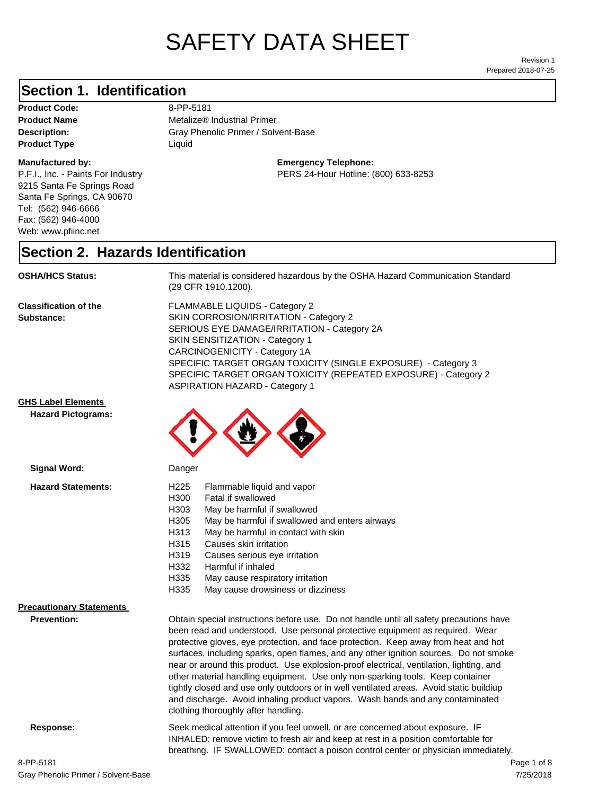# SAFETY DATA SHEET

Prepared 2018-07-25 Revision 1

## **Section 1. Identification**

Product Code: 8-PP-5181 **Product Type Liquid Liquid** 

#### **Manufactured by:**

P.F.I., Inc. - Paints For Industry 9215 Santa Fe Springs Road Santa Fe Springs, CA 90670 Tel: (562) 946-6666 Fax: (562) 946-4000 Web: www.pfiinc.net

**Description:** Gray Phenolic Primer / Solvent-Base **Product Name** Metalize<sup>®</sup> Industrial Primer

**Emergency Telephone:**

PERS 24-Hour Hotline: (800) 633-8253

#### **Section 2. Hazards Identification**

**OSHA/HCS Status:** This material is considered hazardous by the OSHA Hazard Communication Standard (29 CFR 1910.1200).

**Classification of the Substance:**

FLAMMABLE LIQUIDS - Category 2 SKIN CORROSION/IRRITATION - Category 2 SERIOUS EYE DAMAGE/IRRITATION - Category 2A SKIN SENSITIZATION - Category 1 CARCINOGENICITY - Category 1A SPECIFIC TARGET ORGAN TOXICITY (SINGLE EXPOSURE) - Category 3 SPECIFIC TARGET ORGAN TOXICITY (REPEATED EXPOSURE) - Category 2 ASPIRATION HAZARD - Category 1

#### **GHS Label Elements**

**Signal Word:**

**Hazard Pictograms:**



| <b>Hazard Statements:</b>       | H <sub>225</sub><br>H300<br>H303<br>H305<br>H313                                                                                                                                                                                                                                                                                                                                                                                                                                                                                                                                                                                                                                                                                                         | Flammable liquid and vapor<br>Fatal if swallowed<br>May be harmful if swallowed<br>May be harmful if swallowed and enters airways<br>May be harmful in contact with skin                                                                                   |
|---------------------------------|----------------------------------------------------------------------------------------------------------------------------------------------------------------------------------------------------------------------------------------------------------------------------------------------------------------------------------------------------------------------------------------------------------------------------------------------------------------------------------------------------------------------------------------------------------------------------------------------------------------------------------------------------------------------------------------------------------------------------------------------------------|------------------------------------------------------------------------------------------------------------------------------------------------------------------------------------------------------------------------------------------------------------|
|                                 | H315<br>H319<br>H332<br>H335<br>H335                                                                                                                                                                                                                                                                                                                                                                                                                                                                                                                                                                                                                                                                                                                     | Causes skin irritation<br>Causes serious eye irritation<br>Harmful if inhaled<br>May cause respiratory irritation                                                                                                                                          |
| <b>Precautionary Statements</b> |                                                                                                                                                                                                                                                                                                                                                                                                                                                                                                                                                                                                                                                                                                                                                          | May cause drowsiness or dizziness                                                                                                                                                                                                                          |
| <b>Prevention:</b>              | Obtain special instructions before use. Do not handle until all safety precautions have<br>been read and understood. Use personal protective equipment as required. Wear<br>protective gloves, eye protection, and face protection. Keep away from heat and hot<br>surfaces, including sparks, open flames, and any other ignition sources. Do not smoke<br>near or around this product. Use explosion-proof electrical, ventilation, lighting, and<br>other material handling equipment. Use only non-sparking tools. Keep container<br>tightly closed and use only outdoors or in well ventilated areas. Avoid static buildiup<br>and discharge. Avoid inhaling product vapors. Wash hands and any contaminated<br>clothing thoroughly after handling. |                                                                                                                                                                                                                                                            |
| Response:                       |                                                                                                                                                                                                                                                                                                                                                                                                                                                                                                                                                                                                                                                                                                                                                          | Seek medical attention if you feel unwell, or are concerned about exposure. IF<br>INHALED: remove victim to fresh air and keep at rest in a position comfortable for<br>breathing. IF SWALLOWED: contact a poison control center or physician immediately. |

7/25/2018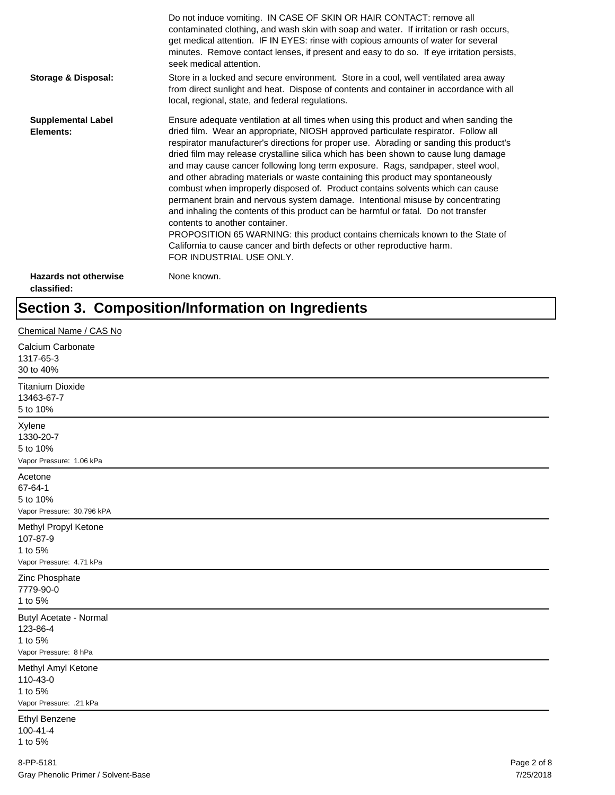|                                             | Do not induce vomiting. IN CASE OF SKIN OR HAIR CONTACT: remove all<br>contaminated clothing, and wash skin with soap and water. If irritation or rash occurs,<br>get medical attention. IF IN EYES: rinse with copious amounts of water for several<br>minutes. Remove contact lenses, if present and easy to do so. If eye irritation persists,<br>seek medical attention.                                                                                                                                                                                                                                                                                                                                                                                                                                                                                                                                                                                                                                             |
|---------------------------------------------|--------------------------------------------------------------------------------------------------------------------------------------------------------------------------------------------------------------------------------------------------------------------------------------------------------------------------------------------------------------------------------------------------------------------------------------------------------------------------------------------------------------------------------------------------------------------------------------------------------------------------------------------------------------------------------------------------------------------------------------------------------------------------------------------------------------------------------------------------------------------------------------------------------------------------------------------------------------------------------------------------------------------------|
| <b>Storage &amp; Disposal:</b>              | Store in a locked and secure environment. Store in a cool, well ventilated area away<br>from direct sunlight and heat. Dispose of contents and container in accordance with all<br>local, regional, state, and federal regulations.                                                                                                                                                                                                                                                                                                                                                                                                                                                                                                                                                                                                                                                                                                                                                                                      |
| <b>Supplemental Label</b><br>Elements:      | Ensure adequate ventilation at all times when using this product and when sanding the<br>dried film. Wear an appropriate, NIOSH approved particulate respirator. Follow all<br>respirator manufacturer's directions for proper use. Abrading or sanding this product's<br>dried film may release crystalline silica which has been shown to cause lung damage<br>and may cause cancer following long term exposure. Rags, sandpaper, steel wool,<br>and other abrading materials or waste containing this product may spontaneously<br>combust when improperly disposed of. Product contains solvents which can cause<br>permanent brain and nervous system damage. Intentional misuse by concentrating<br>and inhaling the contents of this product can be harmful or fatal. Do not transfer<br>contents to another container.<br>PROPOSITION 65 WARNING: this product contains chemicals known to the State of<br>California to cause cancer and birth defects or other reproductive harm.<br>FOR INDUSTRIAL USE ONLY. |
| <b>Hazards not otherwise</b><br>classified: | None known.                                                                                                                                                                                                                                                                                                                                                                                                                                                                                                                                                                                                                                                                                                                                                                                                                                                                                                                                                                                                              |

## **Section 3. Composition/Information on Ingredients**

| Chemical Name / CAS No                                                  |             |  |
|-------------------------------------------------------------------------|-------------|--|
| Calcium Carbonate<br>1317-65-3<br>30 to 40%                             |             |  |
| <b>Titanium Dioxide</b><br>13463-67-7<br>5 to 10%                       |             |  |
| Xylene<br>1330-20-7<br>5 to 10%<br>Vapor Pressure: 1.06 kPa             |             |  |
| Acetone<br>67-64-1<br>5 to 10%<br>Vapor Pressure: 30.796 kPA            |             |  |
| Methyl Propyl Ketone<br>107-87-9<br>1 to 5%<br>Vapor Pressure: 4.71 kPa |             |  |
| Zinc Phosphate<br>7779-90-0<br>1 to 5%                                  |             |  |
| Butyl Acetate - Normal<br>123-86-4<br>1 to 5%<br>Vapor Pressure: 8 hPa  |             |  |
| Methyl Amyl Ketone<br>110-43-0<br>1 to 5%<br>Vapor Pressure: .21 kPa    |             |  |
| <b>Ethyl Benzene</b><br>$100 - 41 - 4$<br>1 to 5%                       |             |  |
| 8-PP-5181                                                               | Page 2 of 8 |  |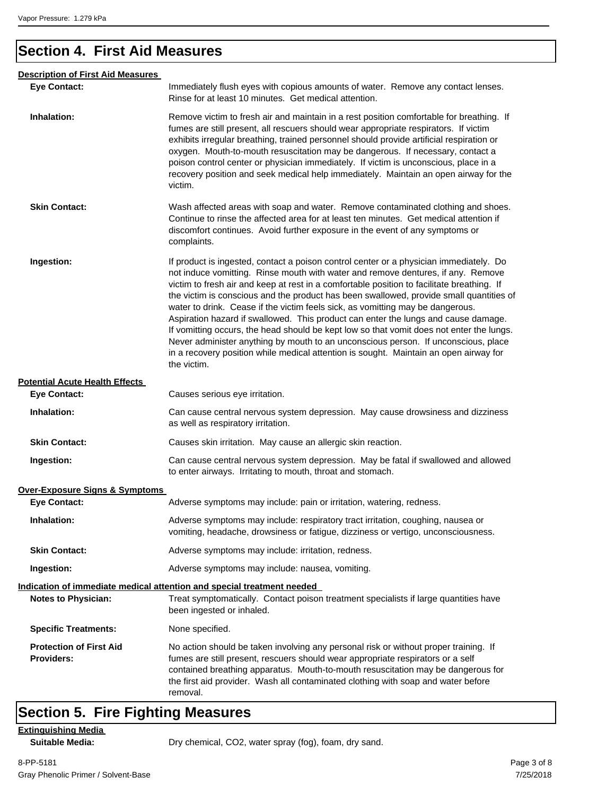## **Section 4. First Aid Measures**

| <b>Description of First Aid Measures</b>            |                                                                                                                                                                                                                                                                                                                                                                                                                                                                                                                                                                                                                                                                                                                                                                                                                                       |
|-----------------------------------------------------|---------------------------------------------------------------------------------------------------------------------------------------------------------------------------------------------------------------------------------------------------------------------------------------------------------------------------------------------------------------------------------------------------------------------------------------------------------------------------------------------------------------------------------------------------------------------------------------------------------------------------------------------------------------------------------------------------------------------------------------------------------------------------------------------------------------------------------------|
| <b>Eye Contact:</b>                                 | Immediately flush eyes with copious amounts of water. Remove any contact lenses.<br>Rinse for at least 10 minutes. Get medical attention.                                                                                                                                                                                                                                                                                                                                                                                                                                                                                                                                                                                                                                                                                             |
| Inhalation:                                         | Remove victim to fresh air and maintain in a rest position comfortable for breathing. If<br>fumes are still present, all rescuers should wear appropriate respirators. If victim<br>exhibits irregular breathing, trained personnel should provide artificial respiration or<br>oxygen. Mouth-to-mouth resuscitation may be dangerous. If necessary, contact a<br>poison control center or physician immediately. If victim is unconscious, place in a<br>recovery position and seek medical help immediately. Maintain an open airway for the<br>victim.                                                                                                                                                                                                                                                                             |
| <b>Skin Contact:</b>                                | Wash affected areas with soap and water. Remove contaminated clothing and shoes.<br>Continue to rinse the affected area for at least ten minutes. Get medical attention if<br>discomfort continues. Avoid further exposure in the event of any symptoms or<br>complaints.                                                                                                                                                                                                                                                                                                                                                                                                                                                                                                                                                             |
| Ingestion:                                          | If product is ingested, contact a poison control center or a physician immediately. Do<br>not induce vomitting. Rinse mouth with water and remove dentures, if any. Remove<br>victim to fresh air and keep at rest in a comfortable position to facilitate breathing. If<br>the victim is conscious and the product has been swallowed, provide small quantities of<br>water to drink. Cease if the victim feels sick, as vomitting may be dangerous.<br>Aspiration hazard if swallowed. This product can enter the lungs and cause damage.<br>If vomitting occurs, the head should be kept low so that vomit does not enter the lungs.<br>Never administer anything by mouth to an unconscious person. If unconscious, place<br>in a recovery position while medical attention is sought. Maintain an open airway for<br>the victim. |
| <b>Potential Acute Health Effects</b>               |                                                                                                                                                                                                                                                                                                                                                                                                                                                                                                                                                                                                                                                                                                                                                                                                                                       |
| <b>Eye Contact:</b>                                 | Causes serious eye irritation.                                                                                                                                                                                                                                                                                                                                                                                                                                                                                                                                                                                                                                                                                                                                                                                                        |
| Inhalation:                                         | Can cause central nervous system depression. May cause drowsiness and dizziness<br>as well as respiratory irritation.                                                                                                                                                                                                                                                                                                                                                                                                                                                                                                                                                                                                                                                                                                                 |
| <b>Skin Contact:</b>                                | Causes skin irritation. May cause an allergic skin reaction.                                                                                                                                                                                                                                                                                                                                                                                                                                                                                                                                                                                                                                                                                                                                                                          |
| Ingestion:                                          | Can cause central nervous system depression. May be fatal if swallowed and allowed<br>to enter airways. Irritating to mouth, throat and stomach.                                                                                                                                                                                                                                                                                                                                                                                                                                                                                                                                                                                                                                                                                      |
| <b>Over-Exposure Signs &amp; Symptoms</b>           |                                                                                                                                                                                                                                                                                                                                                                                                                                                                                                                                                                                                                                                                                                                                                                                                                                       |
| <b>Eye Contact:</b>                                 | Adverse symptoms may include: pain or irritation, watering, redness.                                                                                                                                                                                                                                                                                                                                                                                                                                                                                                                                                                                                                                                                                                                                                                  |
| Inhalation:                                         | Adverse symptoms may include: respiratory tract irritation, coughing, nausea or<br>vomiting, headache, drowsiness or fatigue, dizziness or vertigo, unconsciousness.                                                                                                                                                                                                                                                                                                                                                                                                                                                                                                                                                                                                                                                                  |
| <b>Skin Contact:</b>                                | Adverse symptoms may include: irritation, redness.                                                                                                                                                                                                                                                                                                                                                                                                                                                                                                                                                                                                                                                                                                                                                                                    |
| Ingestion:                                          | Adverse symptoms may include: nausea, vomiting.                                                                                                                                                                                                                                                                                                                                                                                                                                                                                                                                                                                                                                                                                                                                                                                       |
| <b>Notes to Physician:</b>                          | Indication of immediate medical attention and special treatment needed<br>Treat symptomatically. Contact poison treatment specialists if large quantities have<br>been ingested or inhaled.                                                                                                                                                                                                                                                                                                                                                                                                                                                                                                                                                                                                                                           |
| <b>Specific Treatments:</b>                         | None specified.                                                                                                                                                                                                                                                                                                                                                                                                                                                                                                                                                                                                                                                                                                                                                                                                                       |
| <b>Protection of First Aid</b><br><b>Providers:</b> | No action should be taken involving any personal risk or without proper training. If<br>fumes are still present, rescuers should wear appropriate respirators or a self<br>contained breathing apparatus. Mouth-to-mouth resuscitation may be dangerous for<br>the first aid provider. Wash all contaminated clothing with soap and water before<br>removal.                                                                                                                                                                                                                                                                                                                                                                                                                                                                          |

## **Section 5. Fire Fighting Measures**

**Extinguishing Media**

Suitable Media: **Dry chemical, CO2, water spray (fog), foam, dry sand.**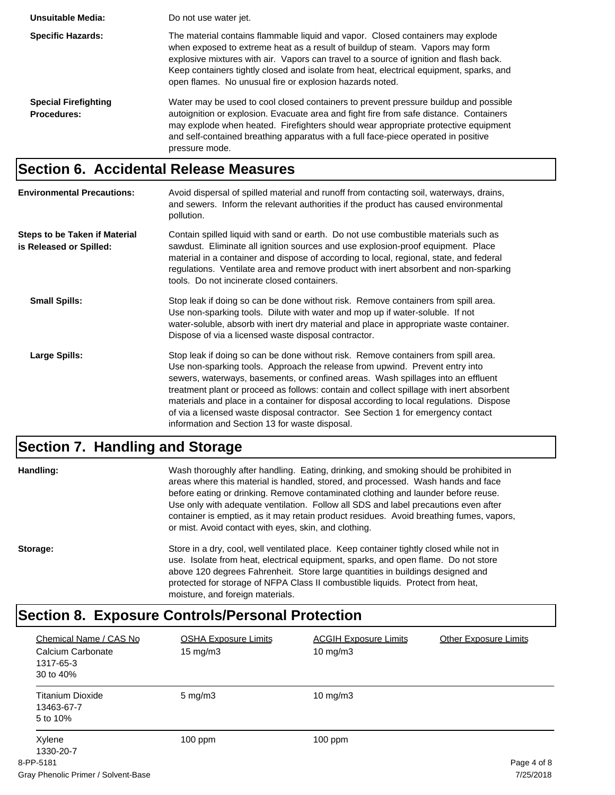| Unsuitable Media:                                 | Do not use water jet.                                                                                                                                                                                                                                                                                                                                                                                             |
|---------------------------------------------------|-------------------------------------------------------------------------------------------------------------------------------------------------------------------------------------------------------------------------------------------------------------------------------------------------------------------------------------------------------------------------------------------------------------------|
| <b>Specific Hazards:</b>                          | The material contains flammable liquid and vapor. Closed containers may explode<br>when exposed to extreme heat as a result of buildup of steam. Vapors may form<br>explosive mixtures with air. Vapors can travel to a source of ignition and flash back.<br>Keep containers tightly closed and isolate from heat, electrical equipment, sparks, and<br>open flames. No unusual fire or explosion hazards noted. |
| <b>Special Firefighting</b><br><b>Procedures:</b> | Water may be used to cool closed containers to prevent pressure buildup and possible<br>autoignition or explosion. Evacuate area and fight fire from safe distance. Containers<br>may explode when heated. Firefighters should wear appropriate protective equipment<br>and self-contained breathing apparatus with a full face-piece operated in positive<br>pressure mode.                                      |

## **Section 6. Accidental Release Measures**

| <b>Environmental Precautions:</b>                        | Avoid dispersal of spilled material and runoff from contacting soil, waterways, drains,<br>and sewers. Inform the relevant authorities if the product has caused environmental<br>pollution.                                                                                                                                                                                                                                                                                                                                                                                        |
|----------------------------------------------------------|-------------------------------------------------------------------------------------------------------------------------------------------------------------------------------------------------------------------------------------------------------------------------------------------------------------------------------------------------------------------------------------------------------------------------------------------------------------------------------------------------------------------------------------------------------------------------------------|
| Steps to be Taken if Material<br>is Released or Spilled: | Contain spilled liquid with sand or earth. Do not use combustible materials such as<br>sawdust. Eliminate all ignition sources and use explosion-proof equipment. Place<br>material in a container and dispose of according to local, regional, state, and federal<br>regulations. Ventilate area and remove product with inert absorbent and non-sparking<br>tools. Do not incinerate closed containers.                                                                                                                                                                           |
| <b>Small Spills:</b>                                     | Stop leak if doing so can be done without risk. Remove containers from spill area.<br>Use non-sparking tools. Dilute with water and mop up if water-soluble. If not<br>water-soluble, absorb with inert dry material and place in appropriate waste container.<br>Dispose of via a licensed waste disposal contractor.                                                                                                                                                                                                                                                              |
| Large Spills:                                            | Stop leak if doing so can be done without risk. Remove containers from spill area.<br>Use non-sparking tools. Approach the release from upwind. Prevent entry into<br>sewers, waterways, basements, or confined areas. Wash spillages into an effluent<br>treatment plant or proceed as follows: contain and collect spillage with inert absorbent<br>materials and place in a container for disposal according to local regulations. Dispose<br>of via a licensed waste disposal contractor. See Section 1 for emergency contact<br>information and Section 13 for waste disposal. |

## **Section 7. Handling and Storage**

| Handling: | Wash thoroughly after handling. Eating, drinking, and smoking should be prohibited in<br>areas where this material is handled, stored, and processed. Wash hands and face<br>before eating or drinking. Remove contaminated clothing and launder before reuse.<br>Use only with adequate ventilation. Follow all SDS and label precautions even after<br>container is emptied, as it may retain product residues. Avoid breathing fumes, vapors,<br>or mist. Avoid contact with eyes, skin, and clothing. |
|-----------|-----------------------------------------------------------------------------------------------------------------------------------------------------------------------------------------------------------------------------------------------------------------------------------------------------------------------------------------------------------------------------------------------------------------------------------------------------------------------------------------------------------|
| Storage:  | Store in a dry, cool, well ventilated place. Keep container tightly closed while not in<br>use. Isolate from heat, electrical equipment, sparks, and open flame. Do not store<br>above 120 degrees Fahrenheit. Store large quantities in buildings designed and<br>protected for storage of NFPA Class II combustible liquids. Protect from heat,<br>moisture, and foreign materials.                                                                                                                     |

## **Section 8. Exposure Controls/Personal Protection**

| Chemical Name / CAS No<br>Calcium Carbonate<br>1317-65-3<br>30 to 40% | <b>OSHA Exposure Limits</b><br>$15 \text{ mg/m}$ | <b>ACGIH Exposure Limits</b><br>$10 \text{ mg/m}$ | <b>Other Exposure Limits</b> |
|-----------------------------------------------------------------------|--------------------------------------------------|---------------------------------------------------|------------------------------|
| <b>Titanium Dioxide</b><br>13463-67-7<br>5 to 10%                     | $5 \text{ mg/m}$ 3                               | 10 mg/m $3$                                       |                              |
| Xylene<br>1330-20-7<br>8-PP-5181                                      | $100$ ppm                                        | $100$ ppm                                         | Page 4 of 8                  |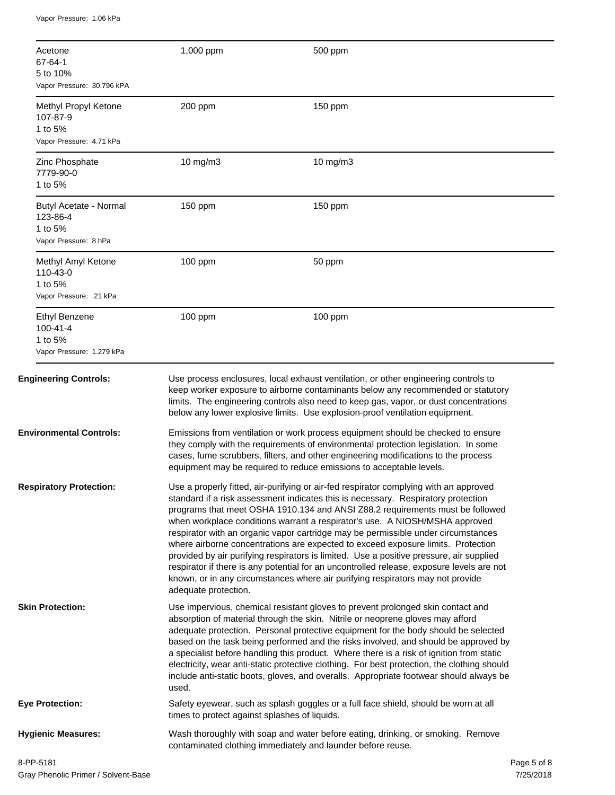Vapor Pressure: 1.06 kPa

| Acetone<br>67-64-1<br>5 to 10%<br>Vapor Pressure: 30.796 kPA                   | 1,000 ppm                                     | 500 ppm                                                                                                                                                                                                                                                                                                                                                                                                                                                                                                                                                                                                                                                                                                                                                                                       |  |
|--------------------------------------------------------------------------------|-----------------------------------------------|-----------------------------------------------------------------------------------------------------------------------------------------------------------------------------------------------------------------------------------------------------------------------------------------------------------------------------------------------------------------------------------------------------------------------------------------------------------------------------------------------------------------------------------------------------------------------------------------------------------------------------------------------------------------------------------------------------------------------------------------------------------------------------------------------|--|
| Methyl Propyl Ketone<br>107-87-9<br>1 to 5%<br>Vapor Pressure: 4.71 kPa        | 200 ppm                                       | 150 ppm                                                                                                                                                                                                                                                                                                                                                                                                                                                                                                                                                                                                                                                                                                                                                                                       |  |
| Zinc Phosphate<br>7779-90-0<br>1 to 5%                                         | 10 mg/m3                                      | 10 mg/m3                                                                                                                                                                                                                                                                                                                                                                                                                                                                                                                                                                                                                                                                                                                                                                                      |  |
| Butyl Acetate - Normal<br>123-86-4<br>1 to 5%<br>Vapor Pressure: 8 hPa         | 150 ppm                                       | 150 ppm                                                                                                                                                                                                                                                                                                                                                                                                                                                                                                                                                                                                                                                                                                                                                                                       |  |
| Methyl Amyl Ketone<br>110-43-0<br>1 to 5%<br>Vapor Pressure: .21 kPa           | 100 ppm                                       | 50 ppm                                                                                                                                                                                                                                                                                                                                                                                                                                                                                                                                                                                                                                                                                                                                                                                        |  |
| <b>Ethyl Benzene</b><br>$100 - 41 - 4$<br>1 to 5%<br>Vapor Pressure: 1.279 kPa | 100 ppm                                       | $100$ ppm                                                                                                                                                                                                                                                                                                                                                                                                                                                                                                                                                                                                                                                                                                                                                                                     |  |
| <b>Engineering Controls:</b>                                                   |                                               | Use process enclosures, local exhaust ventilation, or other engineering controls to<br>keep worker exposure to airborne contaminants below any recommended or statutory<br>limits. The engineering controls also need to keep gas, vapor, or dust concentrations<br>below any lower explosive limits. Use explosion-proof ventilation equipment.                                                                                                                                                                                                                                                                                                                                                                                                                                              |  |
| <b>Environmental Controls:</b>                                                 |                                               | Emissions from ventilation or work process equipment should be checked to ensure<br>they comply with the requirements of environmental protection legislation. In some<br>cases, fume scrubbers, filters, and other engineering modifications to the process<br>equipment may be required to reduce emissions to acceptable levels.                                                                                                                                                                                                                                                                                                                                                                                                                                                           |  |
| <b>Respiratory Protection:</b>                                                 | adequate protection.                          | Use a properly fitted, air-purifying or air-fed respirator complying with an approved<br>standard if a risk assessment indicates this is necessary. Respiratory protection<br>programs that meet OSHA 1910.134 and ANSI Z88.2 requirements must be followed<br>when workplace conditions warrant a respirator's use. A NIOSH/MSHA approved<br>respirator with an organic vapor cartridge may be permissible under circumstances<br>where airborne concentrations are expected to exceed exposure limits. Protection<br>provided by air purifying respirators is limited. Use a positive pressure, air supplied<br>respirator if there is any potential for an uncontrolled release, exposure levels are not<br>known, or in any circumstances where air purifying respirators may not provide |  |
| <b>Skin Protection:</b>                                                        | used.                                         | Use impervious, chemical resistant gloves to prevent prolonged skin contact and<br>absorption of material through the skin. Nitrile or neoprene gloves may afford<br>adequate protection. Personal protective equipment for the body should be selected<br>based on the task being performed and the risks involved, and should be approved by<br>a specialist before handling this product. Where there is a risk of ignition from static<br>electricity, wear anti-static protective clothing. For best protection, the clothing should<br>include anti-static boots, gloves, and overalls. Appropriate footwear should always be                                                                                                                                                           |  |
| <b>Eye Protection:</b>                                                         | times to protect against splashes of liquids. | Safety eyewear, such as splash goggles or a full face shield, should be worn at all                                                                                                                                                                                                                                                                                                                                                                                                                                                                                                                                                                                                                                                                                                           |  |
| <b>Hygienic Measures:</b>                                                      |                                               | Wash thoroughly with soap and water before eating, drinking, or smoking. Remove<br>contaminated clothing immediately and launder before reuse.                                                                                                                                                                                                                                                                                                                                                                                                                                                                                                                                                                                                                                                |  |
| 8-PP-5181                                                                      |                                               | Page 5 of 8                                                                                                                                                                                                                                                                                                                                                                                                                                                                                                                                                                                                                                                                                                                                                                                   |  |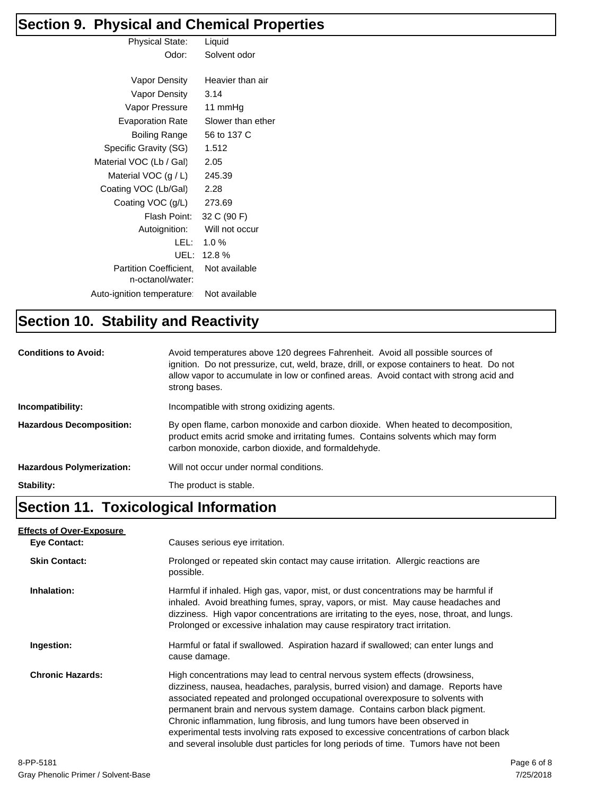## **Section 9. Physical and Chemical Properties**

| ◢                                          |                   |
|--------------------------------------------|-------------------|
| <b>Physical State:</b>                     | Liquid            |
| Odor:                                      | Solvent odor      |
|                                            |                   |
| Vapor Density                              | Heavier than air  |
| Vapor Density                              | 3.14              |
| Vapor Pressure                             | 11 mmHg           |
| Evaporation Rate                           | Slower than ether |
| Boiling Range                              | 56 to 137 C       |
| Specific Gravity (SG)                      | 1.512             |
| Material VOC (Lb / Gal)                    | 2.05              |
| Material VOC $(g / L)$                     | 245.39            |
| Coating VOC (Lb/Gal)                       | 2.28              |
| Coating VOC (g/L)                          | 273.69            |
| Flash Point:                               | 32 C (90 F)       |
| Autoignition:                              | Will not occur    |
| LEL:                                       | 1.0 $%$           |
| UEL:                                       | 12.8%             |
| Partition Coefficient,<br>n-octanol/water: | Not available     |
| Auto-ignition temperature                  | Not available     |
|                                            |                   |

## **Section 10. Stability and Reactivity**

| <b>Conditions to Avoid:</b>      | Avoid temperatures above 120 degrees Fahrenheit. Avoid all possible sources of<br>ignition. Do not pressurize, cut, weld, braze, drill, or expose containers to heat. Do not<br>allow vapor to accumulate in low or confined areas. Avoid contact with strong acid and<br>strong bases. |
|----------------------------------|-----------------------------------------------------------------------------------------------------------------------------------------------------------------------------------------------------------------------------------------------------------------------------------------|
| Incompatibility:                 | Incompatible with strong oxidizing agents.                                                                                                                                                                                                                                              |
| <b>Hazardous Decomposition:</b>  | By open flame, carbon monoxide and carbon dioxide. When heated to decomposition,<br>product emits acrid smoke and irritating fumes. Contains solvents which may form<br>carbon monoxide, carbon dioxide, and formaldehyde.                                                              |
| <b>Hazardous Polymerization:</b> | Will not occur under normal conditions.                                                                                                                                                                                                                                                 |
| Stability:                       | The product is stable.                                                                                                                                                                                                                                                                  |

## **Section 11. Toxicological Information**

| <b>Effects of Over-Exposure</b> |                                                                                                                                                                                                                                                                                                                                                                                                                                                                                                                                                                                            |
|---------------------------------|--------------------------------------------------------------------------------------------------------------------------------------------------------------------------------------------------------------------------------------------------------------------------------------------------------------------------------------------------------------------------------------------------------------------------------------------------------------------------------------------------------------------------------------------------------------------------------------------|
| <b>Eye Contact:</b>             | Causes serious eye irritation.                                                                                                                                                                                                                                                                                                                                                                                                                                                                                                                                                             |
| <b>Skin Contact:</b>            | Prolonged or repeated skin contact may cause irritation. Allergic reactions are<br>possible.                                                                                                                                                                                                                                                                                                                                                                                                                                                                                               |
| Inhalation:                     | Harmful if inhaled. High gas, vapor, mist, or dust concentrations may be harmful if<br>inhaled. Avoid breathing fumes, spray, vapors, or mist. May cause headaches and<br>dizziness. High vapor concentrations are irritating to the eyes, nose, throat, and lungs.<br>Prolonged or excessive inhalation may cause respiratory tract irritation.                                                                                                                                                                                                                                           |
| Ingestion:                      | Harmful or fatal if swallowed. Aspiration hazard if swallowed; can enter lungs and<br>cause damage.                                                                                                                                                                                                                                                                                                                                                                                                                                                                                        |
| <b>Chronic Hazards:</b>         | High concentrations may lead to central nervous system effects (drowsiness,<br>dizziness, nausea, headaches, paralysis, burred vision) and damage. Reports have<br>associated repeated and prolonged occupational overexposure to solvents with<br>permanent brain and nervous system damage. Contains carbon black pigment.<br>Chronic inflammation, lung fibrosis, and lung tumors have been observed in<br>experimental tests involving rats exposed to excessive concentrations of carbon black<br>and several insoluble dust particles for long periods of time. Tumors have not been |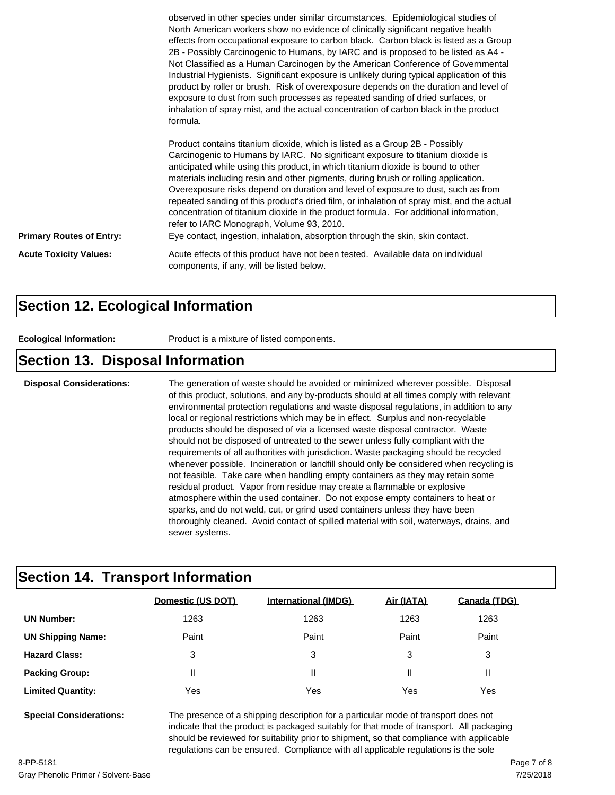|                                 | observed in other species under similar circumstances. Epidemiological studies of<br>North American workers show no evidence of clinically significant negative health<br>effects from occupational exposure to carbon black. Carbon black is listed as a Group<br>2B - Possibly Carcinogenic to Humans, by IARC and is proposed to be listed as A4 -<br>Not Classified as a Human Carcinogen by the American Conference of Governmental<br>Industrial Hygienists. Significant exposure is unlikely during typical application of this<br>product by roller or brush. Risk of overexposure depends on the duration and level of<br>exposure to dust from such processes as repeated sanding of dried surfaces, or<br>inhalation of spray mist, and the actual concentration of carbon black in the product<br>formula. |
|---------------------------------|------------------------------------------------------------------------------------------------------------------------------------------------------------------------------------------------------------------------------------------------------------------------------------------------------------------------------------------------------------------------------------------------------------------------------------------------------------------------------------------------------------------------------------------------------------------------------------------------------------------------------------------------------------------------------------------------------------------------------------------------------------------------------------------------------------------------|
| <b>Primary Routes of Entry:</b> | Product contains titanium dioxide, which is listed as a Group 2B - Possibly<br>Carcinogenic to Humans by IARC. No significant exposure to titanium dioxide is<br>anticipated while using this product, in which titanium dioxide is bound to other<br>materials including resin and other pigments, during brush or rolling application.<br>Overexposure risks depend on duration and level of exposure to dust, such as from<br>repeated sanding of this product's dried film, or inhalation of spray mist, and the actual<br>concentration of titanium dioxide in the product formula. For additional information,<br>refer to IARC Monograph, Volume 93, 2010.<br>Eye contact, ingestion, inhalation, absorption through the skin, skin contact.                                                                    |
| <b>Acute Toxicity Values:</b>   | Acute effects of this product have not been tested. Available data on individual<br>components, if any, will be listed below.                                                                                                                                                                                                                                                                                                                                                                                                                                                                                                                                                                                                                                                                                          |

#### **Section 12. Ecological Information**

**Ecological Information:** Product is a mixture of listed components.

#### **Section 13. Disposal Information**

**Disposal Considerations:** The generation of waste should be avoided or minimized wherever possible. Disposal of this product, solutions, and any by-products should at all times comply with relevant environmental protection regulations and waste disposal regulations, in addition to any local or regional restrictions which may be in effect. Surplus and non-recyclable products should be disposed of via a licensed waste disposal contractor. Waste should not be disposed of untreated to the sewer unless fully compliant with the requirements of all authorities with jurisdiction. Waste packaging should be recycled whenever possible. Incineration or landfill should only be considered when recycling is not feasible. Take care when handling empty containers as they may retain some residual product. Vapor from residue may create a flammable or explosive atmosphere within the used container. Do not expose empty containers to heat or sparks, and do not weld, cut, or grind used containers unless they have been thoroughly cleaned. Avoid contact of spilled material with soil, waterways, drains, and sewer systems.

### **Section 14. Transport Information**

| Domestic (US DOT) | <b>International (IMDG)</b> | Air (IATA) | Canada (TDG) |
|-------------------|-----------------------------|------------|--------------|
| 1263              | 1263                        | 1263       | 1263         |
| Paint             | Paint                       | Paint      | Paint        |
| 3                 | 3                           | 3          | 3            |
| Ш                 | Ш                           |            | Ш            |
| Yes               | Yes                         | Yes        | Yes          |
|                   |                             |            |              |

**Special Considerations:** The presence of a shipping description for a particular mode of transport does not indicate that the product is packaged suitably for that mode of transport. All packaging should be reviewed for suitability prior to shipment, so that compliance with applicable regulations can be ensured. Compliance with all applicable regulations is the sole